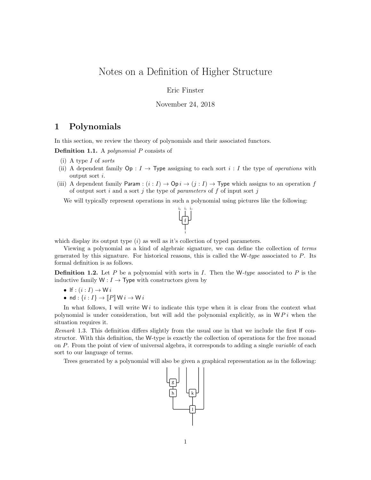# Notes on a Definition of Higher Structure

Eric Finster

## November 24, 2018

## 1 Polynomials

In this section, we review the theory of polynomials and their associated functors.

Definition 1.1. A polynomial P consists of

- (i) A type I of sorts
- (ii) A dependent family  $\mathsf{Op}: I \to \mathsf{Type}$  assigning to each sort i: I the type of *operations* with output sort i.
- (iii) A dependent family Param :  $(i : I) \rightarrow \text{Op } i \rightarrow (j : I) \rightarrow \text{Type which assigns to an operation } f$ of output sort  $i$  and a sort  $j$  the type of parameters of  $f$  of input sort  $j$

We will typically represent operations in such a polynomial using pictures like the following:



which display its output type  $(i)$  as well as it's collection of typed parameters.

Viewing a polynomial as a kind of algebraic signature, we can define the collection of terms generated by this signature. For historical reasons, this is called the  $W-type$  associated to P. Its formal definition is as follows.

**Definition 1.2.** Let P be a polynomial with sorts in I. Then the W-type associated to P is the inductive family  $W: I \to \text{Type with constructors given by}$ 

- If :  $(i : I) \rightarrow W i$
- nd :  $\{i: I\} \rightarrow [P] \cup i \rightarrow W i$

In what follows, I will write  $W_i$  to indicate this type when it is clear from the context what polynomial is under consideration, but will add the polynomial explicitly, as in  $\mathcal{W} \mathcal{P} i$  when the situation requires it.

Remark 1.3. This definition differs slightly from the usual one in that we include the first lf constructor. With this definition, the W-type is exactly the collection of operations for the free monad on P. From the point of view of universal algebra, it corresponds to adding a single *variable* of each sort to our language of terms.

Trees generated by a polynomial will also be given a graphical representation as in the following:

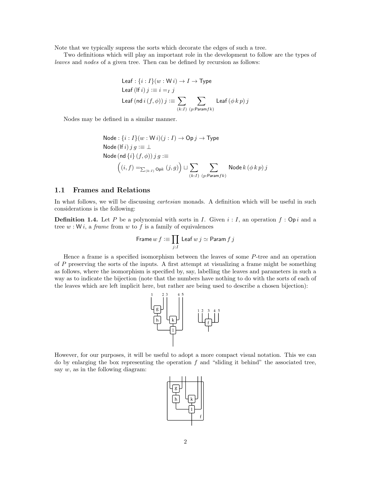Note that we typically supress the sorts which decorate the edges of such a tree.

Two definitions which will play an important role in the development to follow are the types of leaves and nodes of a given tree. Then can be defined by recursion as follows:

$$
\begin{aligned}\n\text{Leaf}: \{i: I\}(w: \mathsf{W} \, i) &\rightarrow I \rightarrow \text{Type} \\
\text{Leaf} \, (\text{If} \, i) \, j &\coloneqq i =_I \, j \\
\text{Leaf} \, (\text{nd} \, i \, (f, \phi)) \, j &\coloneqq \sum_{(k: I) \ (p: \text{Param} \, f k)} \text{Leaf} \, (\phi \, k \, p) \, j\n\end{aligned}
$$

Nodes may be defined in a similar manner.

\nNode: {*i* : *I*}(*w* : *W i*)(*j* : *I*) → Op *j* → Type  
\nNode (If *i*) *j g* := ⊥  
\nNode (nd {*i*}(*f*, 
$$
\phi
$$
)) *j g* :=  
\n
$$
\left( (i, f) =_{\sum_{(k:I)} \text{Op}k} (j, g) \right) \sqcup \sum_{(k:I)} \sum_{(p:\text{Param}fk)} \text{Node } k (\phi k p) j
$$
\n

## 1.1 Frames and Relations

In what follows, we will be discussing *cartesian* monads. A definition which will be useful in such considerations is the following:

**Definition 1.4.** Let P be a polynomial with sorts in I. Given  $i: I$ , an operation  $f: Op i$  and a tree  $w: W_i$ , a *frame* from  $w$  to  $f$  is a family of equivalences

$$
\mathsf{Frame}\, w \, f \mathrel{\mathop:}= \prod_{j:I} \, \mathsf{Leaf}\, w \, j \simeq \mathsf{Param}\, f \, j
$$

Hence a frame is a specified isomorphism between the leaves of some P-tree and an operation of  $P$  preserving the sorts of the inputs. A first attempt at visualizing a frame might be something as follows, where the isomorphism is specified by, say, labelling the leaves and parameters in such a way as to indicate the bijection (note that the numbers have nothing to do with the sorts of each of the leaves which are left implicit here, but rather are being used to describe a chosen bijection):



However, for our purposes, it will be useful to adopt a more compact visual notation. This we can do by enlarging the box representing the operation  $f$  and "sliding it behind" the associated tree, say  $w$ , as in the following diagram:

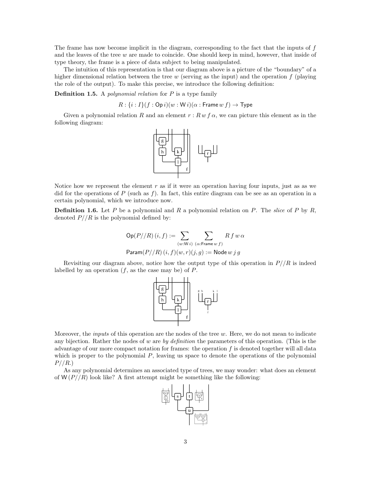The frame has now become implicit in the diagram, corresponding to the fact that the inputs of f and the leaves of the tree  $w$  are made to coincide. One should keep in mind, however, that inside of type theory, the frame is a piece of data subject to being manipulated.

The intuition of this representation is that our diagram above is a picture of the "boundary" of a higher dimensional relation between the tree  $w$  (serving as the input) and the operation  $f$  (playing the role of the output). To make this precise, we introduce the following definition:

**Definition 1.5.** A *polynomial relation* for  $P$  is a type family

$$
R: \{i: I\}(f: \mathsf{Op}\, i)(w: \mathsf{W}\, i)(\alpha: \mathsf{Frame}\, w\, f) \to \mathsf{Type}
$$

Given a polynomial relation R and an element  $r : R w f \alpha$ , we can picture this element as in the following diagram:



Notice how we represent the element  $r$  as if it were an operation having four inputs, just as as we did for the operations of P (such as f). In fact, this entire diagram can be see as an operation in a certain polynomial, which we introduce now.

**Definition 1.6.** Let P be a polynomial and R a polynomial relation on P. The slice of P by R, denoted  $P//R$  is the polynomial defined by:

$$
Op(P//R) (i, f) := \sum_{(w: W i)} \sum_{(\alpha: \text{Frame } w f)} R f w \alpha
$$
  
Param $(P//R) (i, f)(w, r)(j, g) :=$ Node  $w j g$ 

Revisiting our diagram above, notice how the output type of this operation in  $P//R$  is indeed labelled by an operation  $(f, \text{ as the case may be})$  of P.



Moreover, the *inputs* of this operation are the nodes of the tree  $w$ . Here, we do not mean to indicate any bijection. Rather the nodes of w are by definition the parameters of this operation. (This is the advantage of our more compact notation for frames: the operation f is denoted together will all data which is proper to the polynomial  $P$ , leaving us space to denote the operations of the polynomial  $P//R.)$ 

As any polynomial determines an associated type of trees, we may wonder: what does an element of  $W(P/R)$  look like? A first attempt might be something like the following:

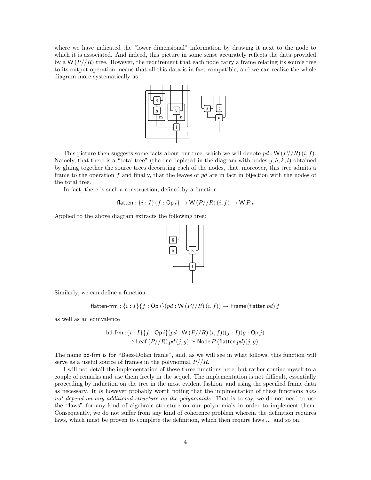where we have indicated the "lower dimensional" information by drawing it next to the node to which it is associated. And indeed, this picture in some sense accurately reflects the data provided by a  $W(P/R)$  tree. However, the requirement that each node carry a frame relating its source tree to its output operation means that all this data is in fact compatible, and we can realize the whole diagram more systematically as



This picture then suggests some facts about our tree, which we will denote  $pd : W(P/R)(i, f)$ . Namely, that there is a "total tree" (the one depicted in the diagram with nodes  $q, h, k, l$ ) obtained by gluing together the source trees decorating each of the nodes, that, moreover, this tree admits a frame to the operation f and finally, that the leaves of  $pd$  are in fact in bijection with the nodes of the total tree.

In fact, there is such a construction, defined by a function

$$
flatten: \{i: I\}\{f: \mathsf{Op}\,i\} \to \mathsf{W}\,(P//R)\,(i, f) \to \mathsf{W}\,P\,i
$$

Applied to the above diagram extracts the following tree:



Similarly, we can define a function

$$
flatten\text{-}frm: \{i: I\}\{f: \text{Op } i\}(pd: W(P//R)(i, f)) \rightarrow \text{Frame (flatten }pd) f
$$

as well as an equivalence

$$
\mathsf{bd\text{-}frm}: \{i: I\} \{f: \mathsf{Op}\, i\} (pd: \mathsf{W}\, (P//R)\, (i, f)) (j: I) (g: \mathsf{Op}\, j) \to \mathsf{Leaf}\, (P//R)\, pd\, (j, g) \simeq \mathsf{Node}\, P \, (\mathsf{flatten}\, pd)(j, g)
$$

The name bd-frm is for "Baez-Dolan frame", and, as we will see in what follows, this function will serve as a useful source of frames in the polynomial  $P/ิ/R$ .

I will not detail the implementation of these three functions here, but rather confine myself to a couple of remarks and use them freely in the sequel. The implementation is not difficult, essentially proceeding by induction on the tree in the most evident fashion, and using the specified frame data as necessary. It is however probably worth noting that the implementation of these functions *does* not depend on any additional structure on the polynomials. That is to say, we do not need to use the "laws" for any kind of algebraic structure on our polynomials in order to implement them. Consequently, we do not suffer from any kind of coherence problem wherein the definition requires laws, which must be proven to complete the definition, which then require laws ... and so on.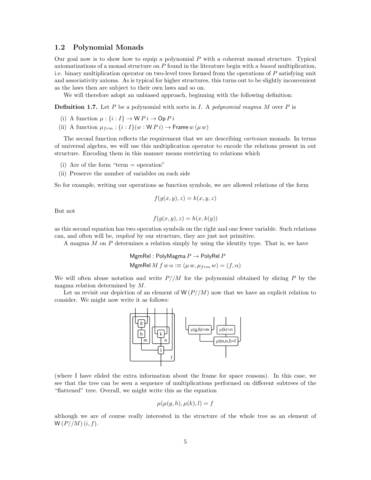## 1.2 Polynomial Monads

Our goal now is to show how to equip a polynomial  $P$  with a coherent monad structure. Typical axiomatizations of a monad structure on  $P$  found in the literature begin with a biased multiplication, i.e. binary multiplication operator on two-level trees formed from the operations of P satisfying unit and associativity axioms. As is typical for higher structures, this turns out to be slightly inconvenient as the laws then are subject to their own laws and so on.

We will therefore adopt an unbiased approach, beginning with the following definition:

**Definition 1.7.** Let P be a polynomial with sorts in I. A polynomial magma M over P is

- (i) A function  $\mu : \{i : I\} \to \mathsf{W} P i \to \mathsf{Op} P i$
- (ii) A function  $\mu_{frm}$ : { $i: I$ }( $w: WP$  $i) \rightarrow$  Frame  $w(\mu w)$

The second function reflects the requirement that we are describing *cartesian* monads. In terms of universal algebra, we will use this multiplication operator to encode the relations present in out structure. Encoding them in this manner means restricting to relations which

- (i) Are of the form "term  $=$  operation"
- (ii) Preserve the number of variables on each side

So for example, writing our operations as function symbols, we are allowed relations of the form

$$
f(g(x, y), z) = k(x, y, z)
$$

But not

$$
f(g(x, y), z) = h(x, k(y))
$$

as this second equation has two operation symbols on the right and one fewer variable. Such relations can, and often will be, implied by our structure, they are just not primitive.

A magma  $M$  on  $P$  determines a relation simply by using the identity type. That is, we have

MgmRel : PolyMagma  $P \to$  PolyRel P MgmRel  $M f w \alpha \equiv (\mu w, \mu_{frm} w) = (f, \alpha)$ 

We will often abuse notation and write  $P/M$  for the polynomial obtained by slicing P by the magma relation determined by M.

Let us revisit our depiction of an element of  $W(P/M)$  now that we have an explicit relation to consider. We might now write it as follows:



(where I have elided the extra information about the frame for space reasons). In this case, we see that the tree can be seen a sequence of multiplications performed on different subtrees of the "flattened" tree. Overall, we might write this as the equation

$$
\mu(\mu(g,h), \mu(k), l) = f
$$

although we are of course really interested in the structure of the whole tree as an element of  $W(P//M)(i, f).$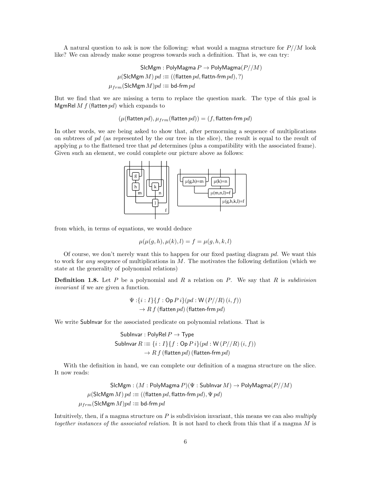A natural question to ask is now the following: what would a magma structure for  $P/M$  look like? We can already make some progress towards such a definition. That is, we can try:

> SlcMgm : PolyMagma  $P \to \text{PolyMagma}(P//M)$  $\mu$ (SlcMgm *M*)  $pd \equiv$  ((flatten pd, flattn-frm pd), ?)  $\mu_{frm}(\text{SlcMgm } M)pd \coloneqq \text{bd-frm } pd$

But we find that we are missing a term to replace the question mark. The type of this goal is MgmRel  $M f$  (flatten  $pd$ ) which expands to

 $(\mu$ (flatten pd),  $\mu_{trm}$ (flatten pd)) = (f, flatten-frm pd)

In other words, we are being asked to show that, after permorming a sequence of multiplications on subtrees of  $pd$  (as represented by the our tree in the slice), the result is equal to the result of applying  $\mu$  to the flattened tree that  $pd$  determines (plus a compatibility with the associated frame). Given such an element, we could complete our picture above as follows:



from which, in terms of equations, we would deduce

$$
\mu(\mu(g, h), \mu(k), l) = f = \mu(g, h, k, l)
$$

Of course, we don't merely want this to happen for our fixed pasting diagram  $pd$ . We want this to work for any sequence of multiplications in  $M$ . The motivates the following definition (which we state at the generality of polynomial relations)

**Definition 1.8.** Let  $P$  be a polynomial and  $R$  a relation on  $P$ . We say that  $R$  is subdivision invariant if we are given a function.

$$
\Psi: \{i: I\} \{f: \mathsf{Op}\, P\, i\} (pd: \mathsf{W}\, (P//R)\, (i, f))
$$

$$
\rightarrow R\, f\, (\text{flatten}\, pd)\, (\text{flatten}\, \text{-}\, \text{frm}\, pd)
$$

We write SubInvar for the associated predicate on polynomial relations. That is

SubInvar : PolyRel 
$$
P \to \text{Type}
$$
  
SubInvar  $R := \{i : I\}\{f : \text{Op } P \, i\}(pd : W \, (P//R) \, (i, f))$   
 $\to R \, f \, (\text{flatten } pd) \, (\text{flatten-form } pd)$ 

With the definition in hand, we can complete our definition of a magma structure on the slice. It now reads:

SlcMgm :  $(M : \text{PolyMagma } P)(\Psi : \text{SubInvar } M) \rightarrow \text{PolyMagma}(P/M)$  $\mu$ (SlcMgm *M*)  $pd \equiv$  ((flatten pd, flattn-frm pd),  $\Psi$  pd)  $\mu_{frm}(\text{SlcMgm } M)pd \coloneqq \text{bd-frm } pd$ 

Intuitively, then, if a magma structure on  $P$  is subdivision invariant, this means we can also multiply together instances of the associated relation. It is not hard to check from this that if a magma M is